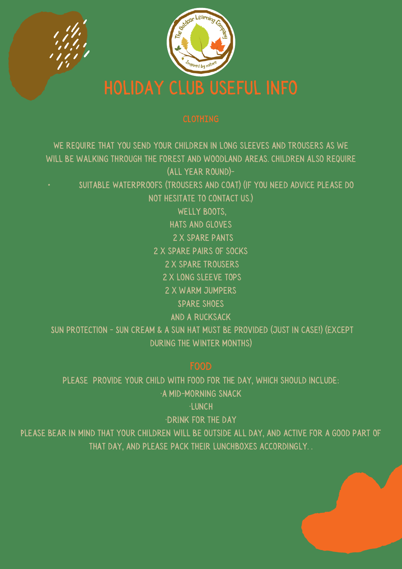

WELLY BOOTS. 2 x spare pants 2 x spare trousers 2 x long sleeve tops 2 x warm jumpers Spare shoes SUN PROTECTION - SUN CREAM & A SUN HAT MUST BE PROVIDED (JUST IN CASE!) (EXCEPT during the winter months) We require that you send your children in long sleeves and trousers as we will be walking through the forest and woodland areas. children also require (all year round)- • Suitable Waterproofs (trousers and coat) (if you need advice please do not hesitate to contact us.) hats and gloves 2 x spare pairs of socks And a Rucksack

please provide your child with food for the day, which should include: ·a mid-morning snack

·lunch

·Drink for the day

Please bear in mind that your children will be outside all day, and active for a good part of that day, and please pack their lunchboxes accordingly. .